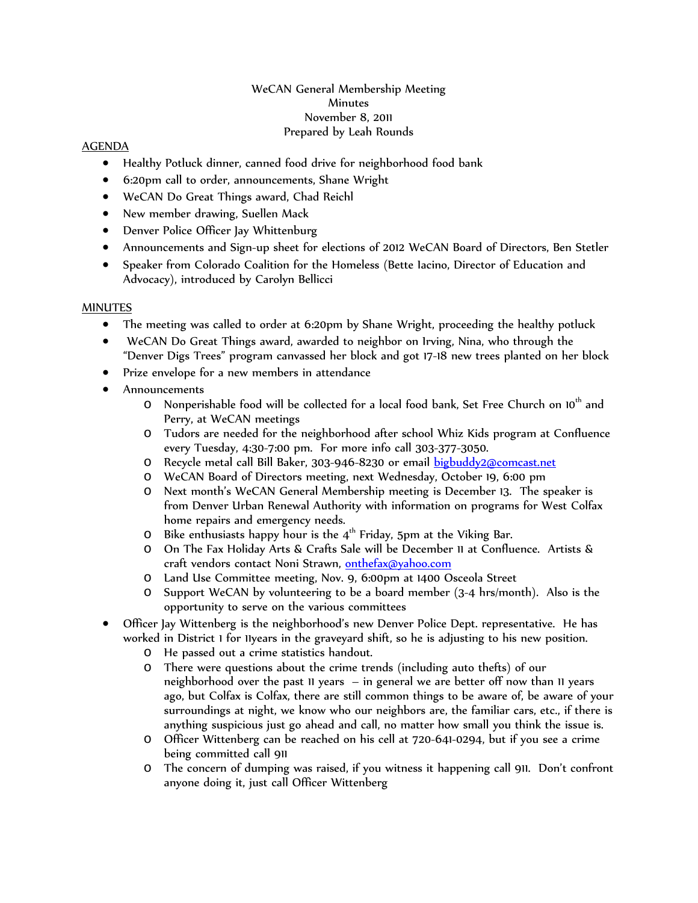## WeCAN General Membership Meeting **Minutes** November 8, 2011 Prepared by Leah Rounds

## AGENDA

- Healthy Potluck dinner, canned food drive for neighborhood food bank
- 6:20pm call to order, announcements, Shane Wright
- WeCAN Do Great Things award, Chad Reichl
- New member drawing, Suellen Mack
- Denver Police Officer Jay Whittenburg
- Announcements and Sign-up sheet for elections of 2012 WeCAN Board of Directors, Ben Stetler
- Speaker from Colorado Coalition for the Homeless (Bette Iacino, Director of Education and Advocacy), introduced by Carolyn Bellicci

## **MINUTES**

- The meeting was called to order at 6:20pm by Shane Wright, proceeding the healthy potluck
- WeCAN Do Great Things award, awarded to neighbor on Irving, Nina, who through the "Denver Digs Trees" program canvassed her block and got 17-18 new trees planted on her block
- Prize envelope for a new members in attendance
- Announcements
	- $\circ$  Nonperishable food will be collected for a local food bank, Set Free Church on 10<sup>th</sup> and Perry, at WeCAN meetings
	- o Tudors are needed for the neighborhood after school Whiz Kids program at Confluence every Tuesday, 4:30-7:00 pm. For more info call 303-377-3050.
	- o Recycle metal call Bill Baker, 303-946-8230 or email [bigbuddy2@comcast.net](mailto:bigbuddy2@comcast.net)
	- o WeCAN Board of Directors meeting, next Wednesday, October 19, 6:00 pm
	- o Next month's WeCAN General Membership meeting is December 13. The speaker is from Denver Urban Renewal Authority with information on programs for West Colfax home repairs and emergency needs.
	- O Bike enthusiasts happy hour is the  $4<sup>th</sup>$  Friday, 5pm at the Viking Bar.<br>O On The Fax Holiday Arts & Crafts Sale will be December 11 at Conflu
	- o On The Fax Holiday Arts & Crafts Sale will be December 11 at Confluence. Artists & craft vendors contact Noni Strawn, [onthefax@yahoo.com](mailto:onthefax@yahoo.com)
	- o Land Use Committee meeting, Nov. 9, 6:00pm at 1400 Osceola Street
	- o Support WeCAN by volunteering to be a board member (3-4 hrs/month). Also is the opportunity to serve on the various committees
- Officer Jay Wittenberg is the neighborhood's new Denver Police Dept. representative. He has worked in District 1 for 11years in the graveyard shift, so he is adjusting to his new position.
	- O He passed out a crime statistics handout.<br>O There were questions about the crime tre
	- There were questions about the crime trends (including auto thefts) of our neighborhood over the past 11 years – in general we are better off now than 11 years ago, but Colfax is Colfax, there are still common things to be aware of, be aware of your surroundings at night, we know who our neighbors are, the familiar cars, etc., if there is anything suspicious just go ahead and call, no matter how small you think the issue is.
	- o Officer Wittenberg can be reached on his cell at 720-641-0294, but if you see a crime being committed call 911
	- o The concern of dumping was raised, if you witness it happening call 911. Don't confront anyone doing it, just call Officer Wittenberg